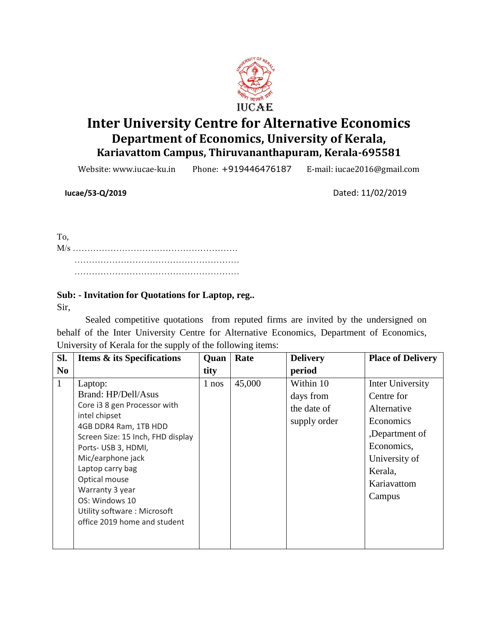

# **Inter University Centre for Alternative Economics Department of Economics, University of Kerala, Kariavattom Campus, Thiruvananthapuram, Kerala-695581**

Website: www.iucae-ku.in Phone: +919446476187 E-mail: iucae2016@gmail.com

 **Iucae/53-Q/2019** Dated: 11/02/2019

To, M/s ………………………………………………… ………………………………………………… …………………………………………………

# **Sub: - Invitation for Quotations for Laptop, reg..**

Sir,

Sealed competitive quotations from reputed firms are invited by the undersigned on behalf of the Inter University Centre for Alternative Economics, Department of Economics, University of Kerala for the supply of the following items:

|                | <b>Items &amp; its Specifications</b>                                                                                                                                                                                                                                                                                             | Quan  | Rate   | <b>Delivery</b>                                       | <b>Place of Delivery</b>                                                                                                                        |
|----------------|-----------------------------------------------------------------------------------------------------------------------------------------------------------------------------------------------------------------------------------------------------------------------------------------------------------------------------------|-------|--------|-------------------------------------------------------|-------------------------------------------------------------------------------------------------------------------------------------------------|
| N <sub>0</sub> |                                                                                                                                                                                                                                                                                                                                   | tity  |        | period                                                |                                                                                                                                                 |
| $\mathbf{1}$   | Laptop:<br>Brand: HP/Dell/Asus<br>Core i3 8 gen Processor with<br>intel chipset<br>4GB DDR4 Ram, 1TB HDD<br>Screen Size: 15 Inch, FHD display<br>Ports-USB 3, HDMI,<br>Mic/earphone jack<br>Laptop carry bag<br>Optical mouse<br>Warranty 3 year<br>OS: Windows 10<br>Utility software: Microsoft<br>office 2019 home and student | 1 nos | 45,000 | Within 10<br>days from<br>the date of<br>supply order | Inter University<br>Centre for<br>Alternative<br>Economics<br>,Department of<br>Economics,<br>University of<br>Kerala,<br>Kariavattom<br>Campus |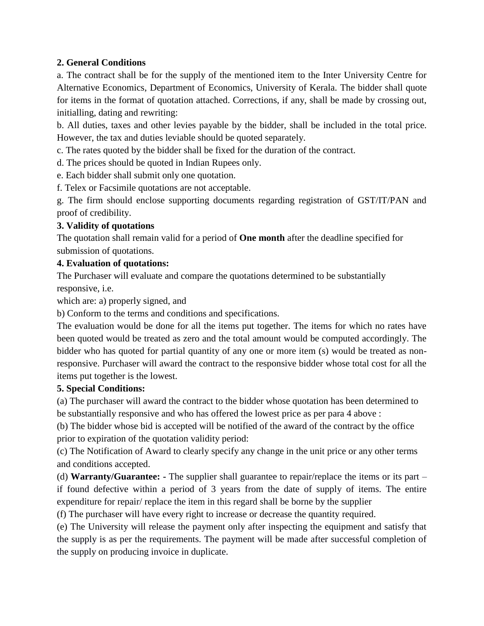# **2. General Conditions**

a. The contract shall be for the supply of the mentioned item to the Inter University Centre for Alternative Economics, Department of Economics, University of Kerala. The bidder shall quote for items in the format of quotation attached. Corrections, if any, shall be made by crossing out, initialling, dating and rewriting:

b. All duties, taxes and other levies payable by the bidder, shall be included in the total price. However, the tax and duties leviable should be quoted separately.

c. The rates quoted by the bidder shall be fixed for the duration of the contract.

d. The prices should be quoted in Indian Rupees only.

e. Each bidder shall submit only one quotation.

f. Telex or Facsimile quotations are not acceptable.

g. The firm should enclose supporting documents regarding registration of GST/IT/PAN and proof of credibility.

# **3. Validity of quotations**

The quotation shall remain valid for a period of **One month** after the deadline specified for submission of quotations.

# **4. Evaluation of quotations:**

The Purchaser will evaluate and compare the quotations determined to be substantially responsive, i.e.

which are: a) properly signed, and

b) Conform to the terms and conditions and specifications.

The evaluation would be done for all the items put together. The items for which no rates have been quoted would be treated as zero and the total amount would be computed accordingly. The bidder who has quoted for partial quantity of any one or more item (s) would be treated as nonresponsive. Purchaser will award the contract to the responsive bidder whose total cost for all the items put together is the lowest.

# **5. Special Conditions:**

(a) The purchaser will award the contract to the bidder whose quotation has been determined to be substantially responsive and who has offered the lowest price as per para 4 above :

(b) The bidder whose bid is accepted will be notified of the award of the contract by the office prior to expiration of the quotation validity period:

(c) The Notification of Award to clearly specify any change in the unit price or any other terms and conditions accepted.

(d) **Warranty/Guarantee: -** The supplier shall guarantee to repair/replace the items or its part – if found defective within a period of 3 years from the date of supply of items. The entire expenditure for repair/ replace the item in this regard shall be borne by the supplier

(f) The purchaser will have every right to increase or decrease the quantity required.

(e) The University will release the payment only after inspecting the equipment and satisfy that the supply is as per the requirements. The payment will be made after successful completion of the supply on producing invoice in duplicate.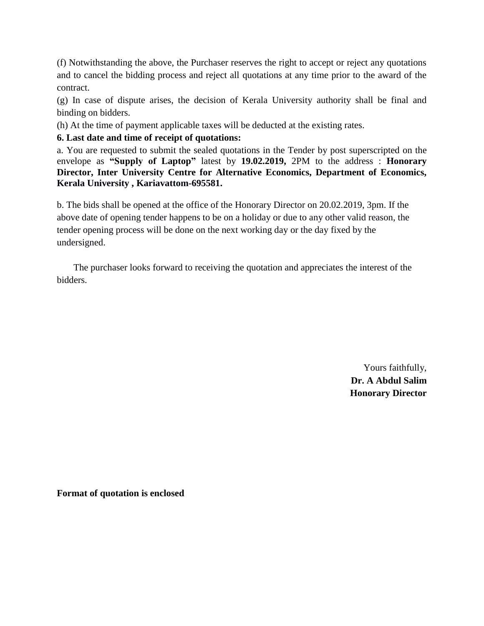(f) Notwithstanding the above, the Purchaser reserves the right to accept or reject any quotations and to cancel the bidding process and reject all quotations at any time prior to the award of the contract.

(g) In case of dispute arises, the decision of Kerala University authority shall be final and binding on bidders.

(h) At the time of payment applicable taxes will be deducted at the existing rates.

# **6. Last date and time of receipt of quotations:**

a. You are requested to submit the sealed quotations in the Tender by post superscripted on the envelope as **"Supply of Laptop"** latest by **19.02.2019,** 2PM to the address : **Honorary Director, Inter University Centre for Alternative Economics, Department of Economics, Kerala University , Kariavattom-695581.**

b. The bids shall be opened at the office of the Honorary Director on 20.02.2019, 3pm. If the above date of opening tender happens to be on a holiday or due to any other valid reason, the tender opening process will be done on the next working day or the day fixed by the undersigned.

 The purchaser looks forward to receiving the quotation and appreciates the interest of the bidders.

> Yours faithfully, **Dr. A Abdul Salim Honorary Director**

**Format of quotation is enclosed**